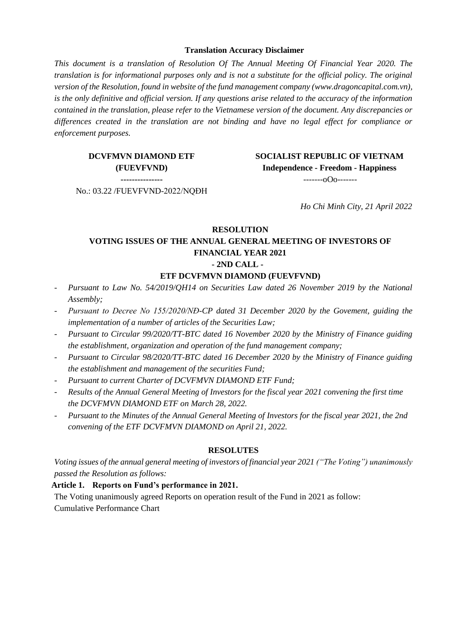#### **Translation Accuracy Disclaimer**

*This document is a translation of Resolution Of The Annual Meeting Of Financial Year 2020. The translation is for informational purposes only and is not a substitute for the official policy. The original version of the Resolution, found in website of the fund management company [\(www.dragoncapital.com.vn\)](http://www.dragoncapital.com.vn/) is the only definitive and official version. If any questions arise related to the accuracy of the information contained in the translation, please refer to the Vietnamese version of the document. Any discrepancies or differences created in the translation are not binding and have no legal effect for compliance or enforcement purposes.*

# **DCVFMVN DIAMOND ETF (FUEVFVND)**

**SOCIALIST REPUBLIC OF VIETNAM Independence - Freedom - Happiness** -------oOo-------

**---------------** No.: 03.22 /FUEVFVND-2022/NQĐH

*Ho Chi Minh City, 21 April 2022*

# **RESOLUTION VOTING ISSUES OF THE ANNUAL GENERAL MEETING OF INVESTORS OF FINANCIAL YEAR 2021 - 2ND CALL -**

## **ETF DCVFMVN DIAMOND (FUEVFVND)**

- *Pursuant to Law No. 54/2019/QH14 on Securities Law dated 26 November 2019 by the National Assembly;*
- *Pursuant to Decree No 155/2020/NĐ-CP dated 31 December 2020 by the Govement, guiding the implementation of a number of articles of the Securities Law;*
- *Pursuant to Circular 99/2020/TT-BTC dated 16 November 2020 by the Ministry of Finance guiding the establishment, organization and operation of the fund management company;*
- *Pursuant to Circular 98/2020/TT-BTC dated 16 December 2020 by the Ministry of Finance guiding the establishment and management of the securities Fund;*
- *Pursuant to current Charter of DCVFMVN DIAMOND ETF Fund;*
- *Results of the Annual General Meeting of Investors for the fiscal year 2021 convening the first time the DCVFMVN DIAMOND ETF on March 28, 2022.*
- *Pursuant to the Minutes of the Annual General Meeting of Investors for the fiscal year 2021, the 2nd convening of the ETF DCVFMVN DIAMOND on April 21, 2022.*

#### **RESOLUTES**

*Voting issues of the annual general meeting of investors of financial year 2021 ("The Voting") unanimously passed the Resolution as follows:*

#### **Article 1. Reports on Fund's performance in 2021.**

The Voting unanimously agreed Reports on operation result of the Fund in 2021 as follow: Cumulative Performance Chart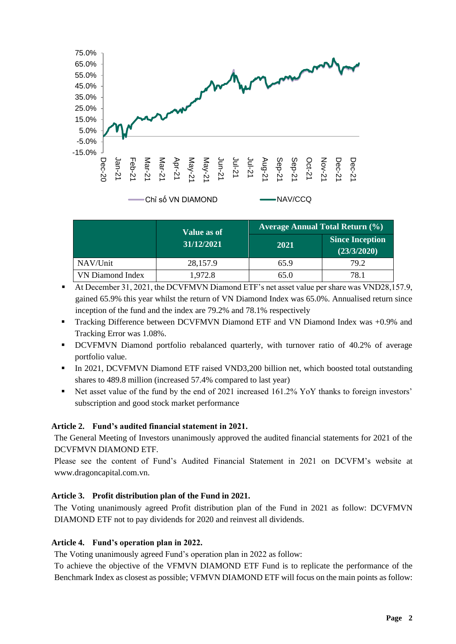

|                  | Value as of | <b>Average Annual Total Return (%)</b> |                                       |  |
|------------------|-------------|----------------------------------------|---------------------------------------|--|
|                  | 31/12/2021  | 2021                                   | <b>Since Inception</b><br>(23/3/2020) |  |
| NAV/Unit         | 28,157.9    | 65.9                                   | 79.2                                  |  |
| VN Diamond Index | 1,972.8     | 65.0                                   | 78.1                                  |  |

- At December 31, 2021, the DCVFMVN Diamond ETF's net asset value per share was VND28,157.9, gained 65.9% this year whilst the return of VN Diamond Index was 65.0%. Annualised return since inception of the fund and the index are 79.2% and 78.1% respectively
- Tracking Difference between DCVFMVN Diamond ETF and VN Diamond Index was +0.9% and Tracking Error was 1.08%.
- DCVFMVN Diamond portfolio rebalanced quarterly, with turnover ratio of 40.2% of average portfolio value.
- In 2021, DCVFMVN Diamond ETF raised VND3,200 billion net, which boosted total outstanding shares to 489.8 million (increased 57.4% compared to last year)
- Net asset value of the fund by the end of 2021 increased 161.2% YoY thanks to foreign investors' subscription and good stock market performance

## **Article 2. Fund's audited financial statement in 2021.**

The General Meeting of Investors unanimously approved the audited financial statements for 2021 of the DCVFMVN DIAMOND ETF.

Please see the content of Fund's Audited Financial Statement in 2021 on DCVFM's website at [www.dragoncapital.com.vn.](http://www.dragoncapital.com.vn/)

## **Article 3. Profit distribution plan of the Fund in 2021.**

The Voting unanimously agreed Profit distribution plan of the Fund in 2021 as follow: DCVFMVN DIAMOND ETF not to pay dividends for 2020 and reinvest all dividends.

## **Article 4. Fund's operation plan in 2022.**

The Voting unanimously agreed Fund's operation plan in 2022 as follow:

To achieve the objective of the VFMVN DIAMOND ETF Fund is to replicate the performance of the Benchmark Index as closest as possible; VFMVN DIAMOND ETF will focus on the main points as follow: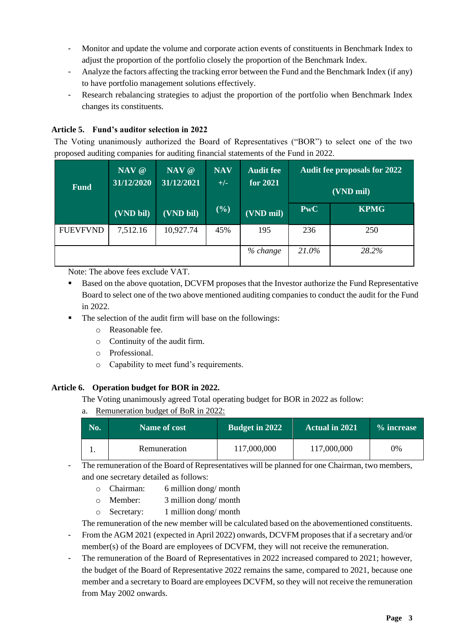- Monitor and update the volume and corporate action events of constituents in Benchmark Index to adjust the proportion of the portfolio closely the proportion of the Benchmark Index.
- Analyze the factors affecting the tracking error between the Fund and the Benchmark Index (if any) to have portfolio management solutions effectively.
- Research rebalancing strategies to adjust the proportion of the portfolio when Benchmark Index changes its constituents.

# **Article 5. Fund's auditor selection in 2022**

The Voting unanimously authorized the Board of Representatives ("BOR") to select one of the two proposed auditing companies for auditing financial statements of the Fund in 2022.

| <b>Fund</b>     | NAV @<br>31/12/2020 | NAV @<br>31/12/2021 | <b>NAV</b><br>$+/-$ | <b>Audit fee</b><br>for 2021 |            | <b>Audit fee proposals for 2022</b><br>(VND mil) |
|-----------------|---------------------|---------------------|---------------------|------------------------------|------------|--------------------------------------------------|
|                 | (VND bil)           | (VND bil)           | (%)                 | (VND mil)                    | <b>PwC</b> | <b>KPMG</b>                                      |
| <b>FUEVFVND</b> | 7,512.16            | 10,927.74           | 45%                 | 195                          | 236        | 250                                              |
|                 |                     |                     |                     | % change                     | 21.0%      | 28.2%                                            |

Note: The above fees exclude VAT.

- Based on the above quotation, DCVFM proposes that the Investor authorize the Fund Representative Board to select one of the two above mentioned auditing companies to conduct the audit for the Fund in 2022.
- The selection of the audit firm will base on the followings:
	- o Reasonable fee.
	- o Continuity of the audit firm.
	- o Professional.
	- o Capability to meet fund's requirements.

## **Article 6. Operation budget for BOR in 2022.**

The Voting unanimously agreed Total operating budget for BOR in 2022 as follow:

a. Remuneration budget of BoR in 2022:

| No. | Name of cost | <b>Budget in 2022</b> | <b>Actual in 2021</b> | % increase |
|-----|--------------|-----------------------|-----------------------|------------|
|     | Remuneration | 117,000,000           | 117,000,000           | 0%         |

- The remuneration of the Board of Representatives will be planned for one Chairman, two members, and one secretary detailed as follows:

- o Chairman: 6 million dong/ month
- o Member: 3 million dong/ month
- o Secretary: 1 million dong/ month

The remuneration of the new member will be calculated based on the abovementioned constituents.

- From the AGM 2021 (expected in April 2022) onwards, DCVFM proposes that if a secretary and/or member(s) of the Board are employees of DCVFM, they will not receive the remuneration.
- The remuneration of the Board of Representatives in 2022 increased compared to 2021; however, the budget of the Board of Representative 2022 remains the same, compared to 2021, because one member and a secretary to Board are employees DCVFM, so they will not receive the remuneration from May 2002 onwards.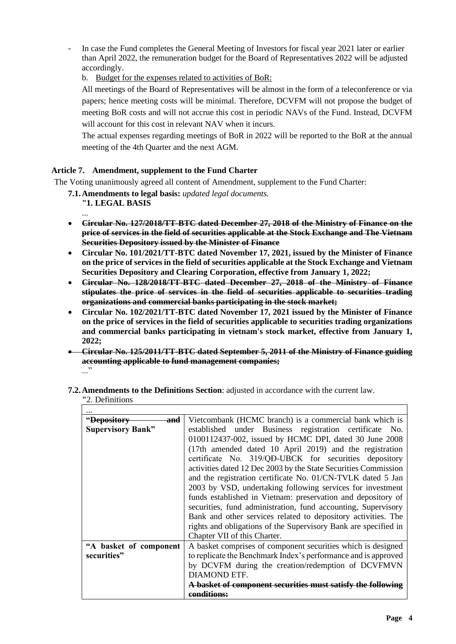- In case the Fund completes the General Meeting of Investors for fiscal year 2021 later or earlier than April 2022, the remuneration budget for the Board of Representatives 2022 will be adjusted accordingly.
	- b. Budget for the expenses related to activities of BoR:

All meetings of the Board of Representatives will be almost in the form of a teleconference or via papers; hence meeting costs will be minimal. Therefore, DCVFM will not propose the budget of meeting BoR costs and will not accrue this cost in periodic NAVs of the Fund. Instead, DCVFM will account for this cost in relevant NAV when it incurs.

The actual expenses regarding meetings of BoR in 2022 will be reported to the BoR at the annual meeting of the 4th Quarter and the next AGM.

# **Article 7. Amendment, supplement to the Fund Charter**

The Voting unanimously agreed all content of Amendment, supplement to the Fund Charter:

**7.1.Amendments to legal basis:** *updated legal documents.*

- **"1. LEGAL BASIS** ...
- **[Circular No. 127/2018/TT-BTC dated December 27, 2018 of the Ministry of Finance on the](https://thuvienphapluat.vn/van-ban/Chung-khoan/Thong-tu-127-2018-TT-BTC-gia-dich-vu-linh-vuc-chung-khoan-ap-dung-tai-So-giao-dich-chung-khoan-380427.aspx)  [price of services in the field of securities applicable at the Stock Exchange and The Vietnam](https://thuvienphapluat.vn/van-ban/Chung-khoan/Thong-tu-127-2018-TT-BTC-gia-dich-vu-linh-vuc-chung-khoan-ap-dung-tai-So-giao-dich-chung-khoan-380427.aspx)  [Securities Depository issued by the Minister of Finance](https://thuvienphapluat.vn/van-ban/Chung-khoan/Thong-tu-127-2018-TT-BTC-gia-dich-vu-linh-vuc-chung-khoan-ap-dung-tai-So-giao-dich-chung-khoan-380427.aspx)**
- **Circular No. 101/2021/TT-BTC dated November 17, 2021, issued by the Minister of Finance on the price of services in the field of securities applicable at the Stock Exchange and Vietnam Securities Depository and Clearing Corporation, effective from January 1, 2022;**
- **Circular No. 128/2018/TT-BTC dated December 27, 2018 of the Ministry of Finance stipulates the price of services in the field of securities applicable to securities trading organizations and commercial banks participating in the stock market;**
- **[Circular No. 102/2021/TT-BTC dated November 17, 2021 issued by the Minister of Finance](https://thuvienphapluat.vn/van-ban/Chung-khoan/Thong-tu-102-2021-TT-BTC-gia-dich-vu-linh-vuc-chung-khoan-tai-to-chuc-kinh-doanh-chung-khoan-495499.aspx)  [on the price of services in the field of securities applicable to securities trading organizations](https://thuvienphapluat.vn/van-ban/Chung-khoan/Thong-tu-102-2021-TT-BTC-gia-dich-vu-linh-vuc-chung-khoan-tai-to-chuc-kinh-doanh-chung-khoan-495499.aspx)  [and commercial banks participating in vietnam's stock market, effective from January 1,](https://thuvienphapluat.vn/van-ban/Chung-khoan/Thong-tu-102-2021-TT-BTC-gia-dich-vu-linh-vuc-chung-khoan-tai-to-chuc-kinh-doanh-chung-khoan-495499.aspx)  [2022;](https://thuvienphapluat.vn/van-ban/Chung-khoan/Thong-tu-102-2021-TT-BTC-gia-dich-vu-linh-vuc-chung-khoan-tai-to-chuc-kinh-doanh-chung-khoan-495499.aspx)**
- **Circular No. 125/2011/TT-BTC dated September 5, 2011 of the Ministry of Finance guiding accounting applicable to fund management companies;** ..."

| " <del>Depository</del><br>and | Vietcombank (HCMC branch) is a commercial bank which is         |
|--------------------------------|-----------------------------------------------------------------|
| <b>Supervisory Bank"</b>       | established under Business registration certificate No.         |
|                                | 0100112437-002, issued by HCMC DPI, dated 30 June 2008          |
|                                | (17th amended dated 10 April 2019) and the registration         |
|                                | certificate No. 319/QD-UBCK for securities depository           |
|                                | activities dated 12 Dec 2003 by the State Securities Commission |
|                                | and the registration certificate No. 01/CN-TVLK dated 5 Jan     |
|                                | 2003 by VSD, undertaking following services for investment      |
|                                | funds established in Vietnam: preservation and depository of    |
|                                | securities, fund administration, fund accounting, Supervisory   |
|                                | Bank and other services related to depository activities. The   |
|                                | rights and obligations of the Supervisory Bank are specified in |
|                                | Chapter VII of this Charter.                                    |
| "A basket of component         | A basket comprises of component securities which is designed    |
| securities"                    | to replicate the Benchmark Index's performance and is approved  |
|                                | by DCVFM during the creation/redemption of DCVFMVN              |
|                                | DIAMOND ETF.                                                    |
|                                | A basket of component securities must satisfy the following     |
|                                | conditione:                                                     |

**7.2.Amendments to the Definitions Section**: adjusted in accordance with the current law. **"**2. Definitions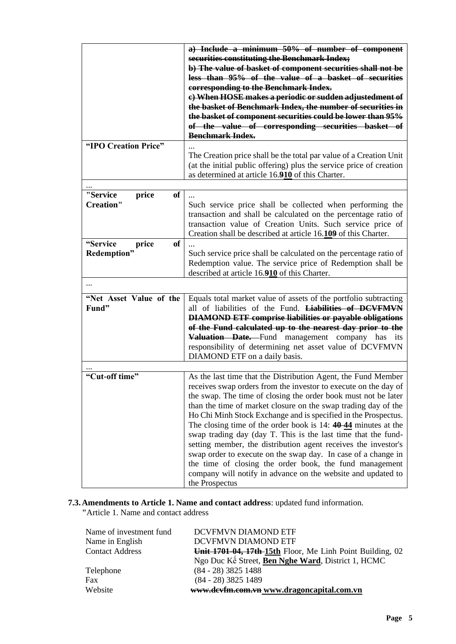| "IPO Creation Price"                          | a) Include a minimum 50% of number of component<br>securities constituting the Benchmark Index;<br>b) The value of basket of component securities shall not be<br>less than 95% of the value of a basket of securities<br>corresponding to the Benchmark Index.<br>e) When HOSE makes a periodic or sudden adjustedment of<br>the basket of Benchmark Index, the number of securities in<br>the basket of component securities could be lower than 95%<br>of the value of corresponding securities basket of<br><b>Benchmark Index.</b>                                                                                                                                                                                                                    |
|-----------------------------------------------|------------------------------------------------------------------------------------------------------------------------------------------------------------------------------------------------------------------------------------------------------------------------------------------------------------------------------------------------------------------------------------------------------------------------------------------------------------------------------------------------------------------------------------------------------------------------------------------------------------------------------------------------------------------------------------------------------------------------------------------------------------|
|                                               | The Creation price shall be the total par value of a Creation Unit<br>(at the initial public offering) plus the service price of creation<br>as determined at article 16.910 of this Charter.                                                                                                                                                                                                                                                                                                                                                                                                                                                                                                                                                              |
|                                               |                                                                                                                                                                                                                                                                                                                                                                                                                                                                                                                                                                                                                                                                                                                                                            |
| "Service<br>price<br>of<br><b>Creation"</b>   | Such service price shall be collected when performing the<br>transaction and shall be calculated on the percentage ratio of<br>transaction value of Creation Units. Such service price of<br>Creation shall be described at article 16.109 of this Charter.                                                                                                                                                                                                                                                                                                                                                                                                                                                                                                |
| "Service<br>price<br><b>of</b><br>Redemption" | Such service price shall be calculated on the percentage ratio of<br>Redemption value. The service price of Redemption shall be<br>described at article 16.910 of this Charter.                                                                                                                                                                                                                                                                                                                                                                                                                                                                                                                                                                            |
|                                               |                                                                                                                                                                                                                                                                                                                                                                                                                                                                                                                                                                                                                                                                                                                                                            |
| "Net Asset Value of the<br>Fund"              | Equals total market value of assets of the portfolio subtracting<br>all of liabilities of the Fund. Liabilities of DCVFMVN<br><b>DIAMOND ETF comprise liabilities or payable obligations</b><br>of the Fund calculated up to the nearest day prior to the<br>Valuation Date. Fund management company has its<br>responsibility of determining net asset value of DCVFMVN<br>DIAMOND ETF on a daily basis.                                                                                                                                                                                                                                                                                                                                                  |
|                                               |                                                                                                                                                                                                                                                                                                                                                                                                                                                                                                                                                                                                                                                                                                                                                            |
| "Cut-off time"                                | As the last time that the Distribution Agent, the Fund Member<br>receives swap orders from the investor to execute on the day of<br>the swap. The time of closing the order book must not be later<br>than the time of market closure on the swap trading day of the<br>Ho Chi Minh Stock Exchange and is specified in the Prospectus.<br>The closing time of the order book is $14:40-44$ minutes at the<br>swap trading day (day T. This is the last time that the fund-<br>setting member, the distribution agent receives the investor's<br>swap order to execute on the swap day. In case of a change in<br>the time of closing the order book, the fund management<br>company will notify in advance on the website and updated to<br>the Prospectus |

# **7.3.Amendments to Article 1. Name and contact address**: updated fund information.

**"**Article 1. Name and contact address

| Name of investment fund | DCVFMVN DIAMOND ETF                                       |
|-------------------------|-----------------------------------------------------------|
| Name in English         | DCVFMVN DIAMOND ETF                                       |
| <b>Contact Address</b>  | Unit 1701-04, 17th 15th Floor, Me Linh Point Building, 02 |
|                         | Ngo Duc Kê Street, Ben Nghe Ward, District 1, HCMC        |
| Telephone               | $(84 - 28)$ 3825 1488                                     |
| Fax                     | $(84 - 28)$ 3825 1489                                     |
| Website                 | www.devfm.com.vn www.dragoncapital.com.vn                 |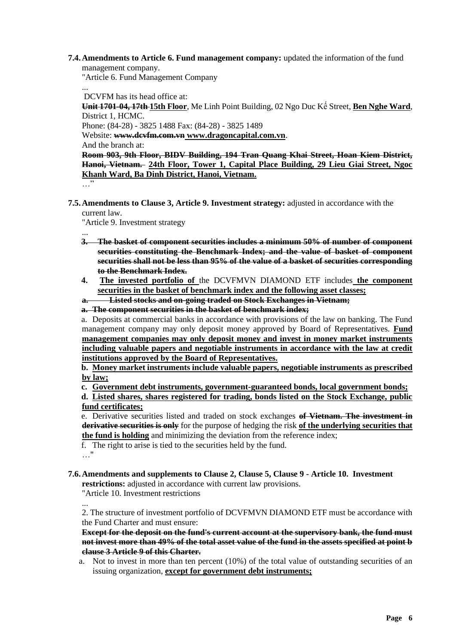**7.4.Amendments to Article 6. Fund management company:** updated the information of the fund management company.

"Article 6. Fund Management Company

... DCVFM has its head office at:

**Unit 1701-04, 17th 15th Floor**, Me Linh Point Building, 02 Ngo Duc Kế Street, **Ben Nghe Ward**, District 1, HCMC. Phone: (84-28) - 3825 1488 Fax: (84-28) - 3825 1489

Website: **www.dcvfm.com.vn www.dragoncapital.com.vn**.

And the branch at:

**Room 903, 9th Floor, BIDV Building, 194 Tran Quang Khai Street, Hoan Kiem District, Hanoi, Vietnam. 24th Floor, Tower 1, Capital Place Building, 29 Lieu Giai Street, Ngoc Khanh Ward, Ba Dinh District, Hanoi, Vietnam.**

…"

**7.5.Amendments to Clause 3, Article 9. Investment strategy:** adjusted in accordance with the current law.

"Article 9. Investment strategy

- ... **3. The basket of component securities includes a minimum 50% of number of component securities constituting the Benchmark Index; and the value of basket of component securities shall not be less than 95% of the value of a basket of securities corresponding to the Benchmark Index.**
- **4. The invested portfolio of** the DCVFMVN DIAMOND ETF includes **the component securities in the basket of benchmark index and the following asset classes;**
- **a. Listed stocks and on-going traded on Stock Exchanges in Vietnam;**
- **a. The component securities in the basket of benchmark index;**

a. Deposits at commercial banks in accordance with provisions of the law on banking. The Fund management company may only deposit money approved by Board of Representatives. **Fund management companies may only deposit money and invest in money market instruments including valuable papers and negotiable instruments in accordance with the law at credit institutions approved by the Board of Representatives.**

**b. Money market instruments include valuable papers, negotiable instruments as prescribed by law;**

**c. Government debt instruments, government-guaranteed bonds, local government bonds;**

**d. Listed shares, shares registered for trading, bonds listed on the Stock Exchange, public fund certificates;** 

e. Derivative securities listed and traded on stock exchanges **of Vietnam. The investment in derivative securities is only** for the purpose of hedging the risk **of the underlying securities that the fund is holding** and minimizing the deviation from the reference index;

- f. The right to arise is tied to the securities held by the fund.
- …"
- **7.6.Amendments and supplements to Clause 2, Clause 5, Clause 9 - Article 10. Investment restrictions:** adjusted in accordance with current law provisions.

"Article 10. Investment restrictions

... 2. The structure of investment portfolio of DCVFMVN DIAMOND ETF must be accordance with the Fund Charter and must ensure:

**Except for the deposit on the fund's current account at the supervisory bank, the fund must not invest more than 49% of the total asset value of the fund in the assets specified at point b clause 3 Article 9 of this Charter.**

a. Not to invest in more than ten percent (10%) of the total value of outstanding securities of an issuing organization, **except for government debt instruments;**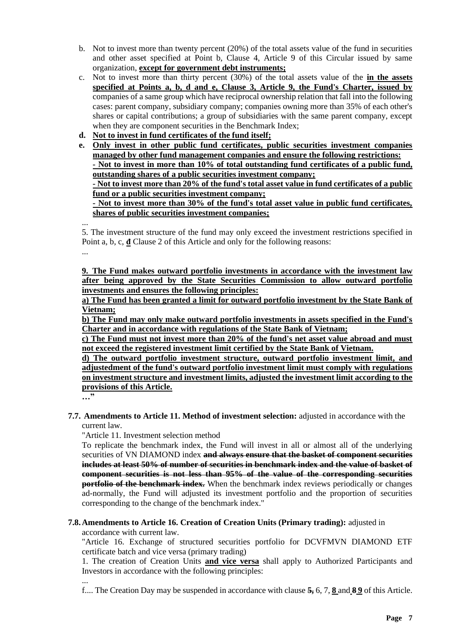- b. Not to invest more than twenty percent (20%) of the total assets value of the fund in securities and other asset specified at Point b, Clause 4, Article 9 of this Circular issued by same organization, **except for government debt instruments;**
- c. Not to invest more than thirty percent (30%) of the total assets value of the **in the assets specified at Points a, b, d and e, Clause 3, Article 9, the Fund's Charter, issued by**  companies of a same group which have reciprocal ownership relation that fall into the following cases: parent company, subsidiary company; companies owning more than 35% of each other's shares or capital contributions; a group of subsidiaries with the same parent company, except when they are component securities in the Benchmark Index;
- **d. Not to invest in fund certificates of the fund itself;**
- **e. Only invest in other public fund certificates, public securities investment companies managed by other fund management companies and ensure the following restrictions: - Not to invest in more than 10% of total outstanding fund certificates of a public fund, outstanding shares of a public securities investment company;**

**- Not to invest more than 20% of the fund's total asset value in fund certificates of a public fund or a public securities investment company;**

**- Not to invest more than 30% of the fund's total asset value in public fund certificates, shares of public securities investment companies;**

... 5. The investment structure of the fund may only exceed the investment restrictions specified in Point a, b, c, **đ** Clause 2 of this Article and only for the following reasons: ...

**9. The Fund makes outward portfolio investments in accordance with the investment law after being approved by the State Securities Commission to allow outward portfolio investments and ensures the following principles:**

**a) The Fund has been granted a limit for outward portfolio investment by the State Bank of Vietnam;**

**b) The Fund may only make outward portfolio investments in assets specified in the Fund's Charter and in accordance with regulations of the State Bank of Vietnam;**

**c) The Fund must not invest more than 20% of the fund's net asset value abroad and must not exceed the registered investment limit certified by the State Bank of Vietnam.**

**d) The outward portfolio investment structure, outward portfolio investment limit, and adjustedment of the fund's outward portfolio investment limit must comply with regulations on investment structure and investment limits, adjusted the investment limit according to the provisions of this Article.**

**…"**

**7.7. Amendments to Article 11. Method of investment selection:** adjusted in accordance with the current law.

"Article 11. Investment selection method

To replicate the benchmark index, the Fund will invest in all or almost all of the underlying securities of VN DIAMOND index **and always ensure that the basket of component securities includes at least 50% of number of securities in benchmark index and the value of basket of component securities is not less than 95% of the value of the corresponding securities portfolio of the benchmark index.** When the benchmark index reviews periodically or changes ad-normally, the Fund will adjusted its investment portfolio and the proportion of securities corresponding to the change of the benchmark index."

# **7.8.Amendments to Article 16. Creation of Creation Units (Primary trading):** adjusted in

accordance with current law.

"Article 16. Exchange of structured securities portfolio for DCVFMVN DIAMOND ETF certificate batch and vice versa (primary trading)

1. The creation of Creation Units **and vice versa** shall apply to Authorized Participants and Investors in accordance with the following principles:

... f.... The Creation Day may be suspended in accordance with clause **5,** 6, 7, **8** and **8 9** of this Article.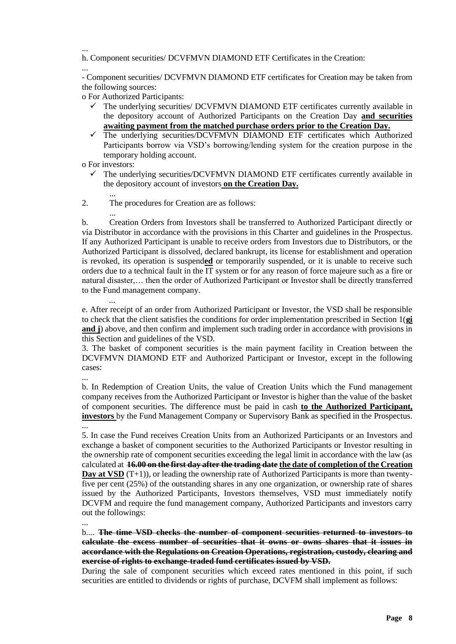... h. Component securities/ DCVFMVN DIAMOND ETF Certificates in the Creation:

...

- Component securities/ DCVFMVN DIAMOND ETF certificates for Creation may be taken from the following sources:

o For Authorized Participants:

- $\checkmark$  The underlying securities/ DCVFMVN DIAMOND ETF certificates currently available in the depository account of Authorized Participants on the Creation Day **and securities awaiting payment from the matched purchase orders prior to the Creation Day.**
- The underlying securities/DCVFMVN DIAMOND ETF certificates which Authorized Participants borrow via VSD's borrowing/lending system for the creation purpose in the temporary holding account.
- o For investors:
	- $\checkmark$  The underlying securities/DCVFMVN DIAMOND ETF certificates currently available in the depository account of investors **on the Creation Day.**
- ... 2. The procedures for Creation are as follows:

... b. Creation Orders from Investors shall be transferred to Authorized Participant directly or via Distributor in accordance with the provisions in this Charter and guidelines in the Prospectus. If any Authorized Participant is unable to receive orders from Investors due to Distributors, or the Authorized Participant is dissolved, declared bankrupt, its license for establishment and operation is revoked, its operation is suspend**ed** or temporarily suspended, or it is unable to receive such orders due to a technical fault in the IT system or for any reason of force majeure such as a fire or natural disaster,… then the order of Authorized Participant or Investor shall be directly transferred to the Fund management company.

... e. After receipt of an order from Authorized Participant or Investor, the VSD shall be responsible to check that the client satisfies the conditions for order implementation prescribed in Section 1(**gi and j**) above, and then confirm and implement such trading order in accordance with provisions in this Section and guidelines of the VSD.

3. The basket of component securities is the main payment facility in Creation between the DCVFMVN DIAMOND ETF and Authorized Participant or Investor, except in the following cases:

...

b. In Redemption of Creation Units, the value of Creation Units which the Fund management company receives from the Authorized Participant or Investor is higher than the value of the basket of component securities. The difference must be paid in cash **to the Authorized Participant, investors** by the Fund Management Company or Supervisory Bank as specified in the Prospectus. ...

5. In case the Fund receives Creation Units from an Authorized Participants or an Investors and exchange a basket of component securities to the Authorized Participants or Investor resulting in the ownership rate of component securities exceeding the legal limit in accordance with the law (as calculated at **16.00 on the first day after the trading date the date of completion of the Creation Day at VSD** (T+1)), or leading the ownership rate of Authorized Participants is more than twentyfive per cent (25%) of the outstanding shares in any one organization, or ownership rate of shares issued by the Authorized Participants, Investors themselves, VSD must immediately notify DCVFM and require the fund management company, Authorized Participants and investors carry out the followings:

...

b.... **The time VSD checks the number of component securities returned to investors to calculate the excess number of securities that it owns or owns shares that it issues in accordance with the Regulations on Creation Operations, registration, custody, clearing and exercise of rights to exchange-traded fund certificates issued by VSD.**

During the sale of component securities which exceed rates mentioned in this point, if such securities are entitled to dividends or rights of purchase, DCVFM shall implement as follows: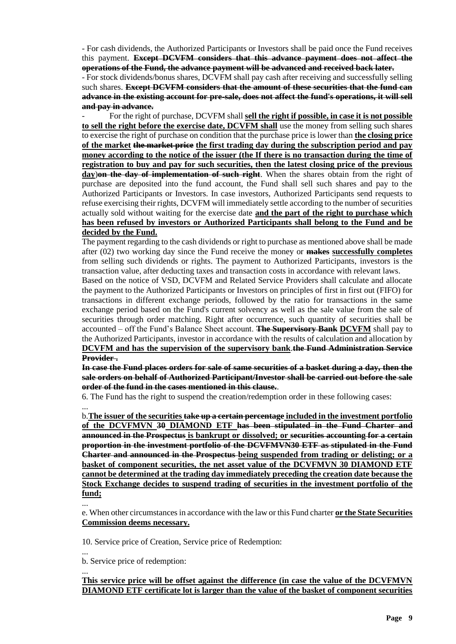- For cash dividends, the Authorized Participants or Investors shall be paid once the Fund receives this payment. **Except DCVFM considers that this advance payment does not affect the operations of the Fund, the advance payment will be advanced and received back later.**

- For stock dividends/bonus shares, DCVFM shall pay cash after receiving and successfully selling such shares. **Except DCVFM considers that the amount of these securities that the fund can advance in the existing account for pre-sale, does not affect the fund's operations, it will sell and pay in advance.**

- For the right of purchase, DCVFM shall **sell the right if possible, in case it is not possible to sell the right before the exercise date, DCVFM shall** use the money from selling such shares to exercise the right of purchase on condition that the purchase price is lower than **the closing price of the market the market price the first trading day during the subscription period and pay money according to the notice of the issuer (the If there is no transaction during the time of registration to buy and pay for such securities, then the latest closing price of the previous day**)**on the day of implementation of such right**. When the shares obtain from the right of purchase are deposited into the fund account, the Fund shall sell such shares and pay to the Authorized Participants or Investors. In case investors, Authorized Participants send requests to refuse exercising their rights, DCVFM will immediately settle according to the number of securities actually sold without waiting for the exercise date **and the part of the right to purchase which has been refused by investors or Authorized Participants shall belong to the Fund and be decided by the Fund.**

The payment regarding to the cash dividends or right to purchase as mentioned above shall be made after (02) two working day since the Fund receive the money or **makes successfully completes** from selling such dividends or rights. The payment to Authorized Participants, investors is the transaction value, after deducting taxes and transaction costs in accordance with relevant laws.

Based on the notice of VSD, DCVFM and Related Service Providers shall calculate and allocate the payment to the Authorized Participants or Investors on principles of first in first out (FIFO) for transactions in different exchange periods, followed by the ratio for transactions in the same exchange period based on the Fund's current solvency as well as the sale value from the sale of securities through order matching. Right after occurrence, such quantity of securities shall be accounted – off the Fund's Balance Sheet account. **The Supervisory Bank DCVFM** shall pay to the Authorized Participants, investor in accordance with the results of calculation and allocation by **DCVFM and has the supervision of the supervisory bank**.**the Fund Administration Service Provider .**

**In case the Fund places orders for sale of same securities of a basket during a day, then the sale orders on behalf of Authorized Participant/Investor shall be carried out before the sale order of the fund in the cases mentioned in this clause.**.

6. The Fund has the right to suspend the creation/redemption order in these following cases:

... b.**The issuer of the securities take up a certain percentage included in the investment portfolio of the DCVFMVN 30 DIAMOND ETF has been stipulated in the Fund Charter and announced in the Prospectus is bankrupt or dissolved; or securities accounting for a certain proportion in the investment portfolio of the DCVFMVN30 ETF as stipulated in the Fund Charter and announced in the Prospectus being suspended from trading or delisting; or a basket of component securities, the net asset value of the DCVFMVN 30 DIAMOND ETF cannot be determined at the trading day immediately preceding the creation date because the Stock Exchange decides to suspend trading of securities in the investment portfolio of the fund;**

...

e. When other circumstances in accordance with the law or this Fund charter **or the State Securities Commission deems necessary.**

10. Service price of Creation, Service price of Redemption:

... b. Service price of redemption:

...

**This service price will be offset against the difference (in case the value of the DCVFMVN DIAMOND ETF certificate lot is larger than the value of the basket of component securities**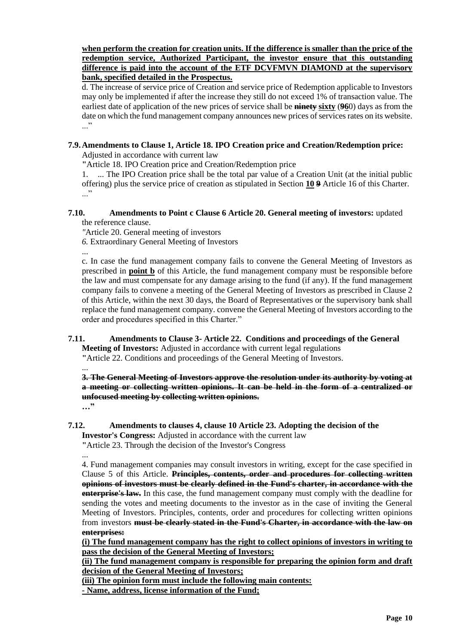## **when perform the creation for creation units. If the difference is smaller than the price of the redemption service, Authorized Participant, the investor ensure that this outstanding difference is paid into the account of the ETF DCVFMVN DIAMOND at the supervisory bank, specified detailed in the Prospectus.**

d. The increase of service price of Creation and service price of Redemption applicable to Investors may only be implemented if after the increase they still do not exceed 1% of transaction value. The earliest date of application of the new prices of service shall be **ninety sixty** (**96**0) days as from the date on which the fund management company announces new prices of services rates on its website. ..."

# **7.9.Amendments to Clause 1, Article 18. IPO Creation price and Creation/Redemption price:**

Adjusted in accordance with current law

**"**Article 18. IPO Creation price and Creation/Redemption price

1. ... The IPO Creation price shall be the total par value of a Creation Unit (at the initial public offering) plus the service price of creation as stipulated in Section **10 9** Article 16 of this Charter. ..."

#### **7.10. Amendments to Point c Clause 6 Article 20. General meeting of investors:** updated the reference clause.

*"*Article 20. General meeting of investors

*6.* Extraordinary General Meeting of Investors

... c. In case the fund management company fails to convene the General Meeting of Investors as prescribed in **point b** of this Article, the fund management company must be responsible before the law and must compensate for any damage arising to the fund (if any). If the fund management company fails to convene a meeting of the General Meeting of Investors as prescribed in Clause 2 of this Article, within the next 30 days, the Board of Representatives or the supervisory bank shall replace the fund management company. convene the General Meeting of Investors according to the order and procedures specified in this Charter."

**7.11. Amendments to Clause 3- Article 22. Conditions and proceedings of the General Meeting of Investors:** Adjusted in accordance with current legal regulations **"**Article 22. Conditions and proceedings of the General Meeting of Investors.

... **3. The General Meeting of Investors approve the resolution under its authority by voting at a meeting or collecting written opinions. It can be held in the form of a centralized or unfocused meeting by collecting written opinions. …"**

#### **7.12. Amendments to clauses 4, clause 10 Article 23. Adopting the decision of the Investor's Congress:** Adjusted in accordance with the current law

**"**Article 23. Through the decision of the Investor's Congress

...

4. Fund management companies may consult investors in writing, except for the case specified in Clause 5 of this Article. **Principles, contents, order and procedures for collecting written opinions of investors must be clearly defined in the Fund's charter, in accordance with the enterprise's law.** In this case, the fund management company must comply with the deadline for sending the votes and meeting documents to the investor as in the case of inviting the General Meeting of Investors. Principles, contents, order and procedures for collecting written opinions from investors **must be clearly stated in the Fund's Charter, in accordance with the law on enterprises:**

**(i) The fund management company has the right to collect opinions of investors in writing to pass the decision of the General Meeting of Investors;**

**(ii) The fund management company is responsible for preparing the opinion form and draft decision of the General Meeting of Investors;**

**(iii) The opinion form must include the following main contents: - Name, address, license information of the Fund;**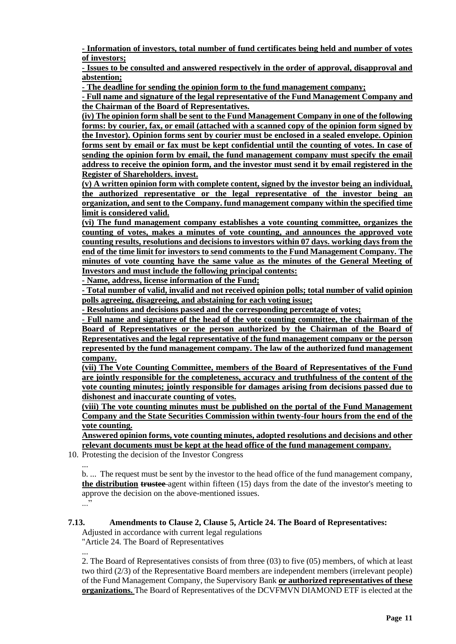**- Information of investors, total number of fund certificates being held and number of votes of investors;**

**- Issues to be consulted and answered respectively in the order of approval, disapproval and abstention;**

**- The deadline for sending the opinion form to the fund management company;**

**- Full name and signature of the legal representative of the Fund Management Company and the Chairman of the Board of Representatives.**

**(iv) The opinion form shall be sent to the Fund Management Company in one of the following forms: by courier, fax, or email (attached with a scanned copy of the opinion form signed by the Investor). Opinion forms sent by courier must be enclosed in a sealed envelope. Opinion forms sent by email or fax must be kept confidential until the counting of votes. In case of sending the opinion form by email, the fund management company must specify the email address to receive the opinion form, and the investor must send it by email registered in the Register of Shareholders. invest.**

**(v) A written opinion form with complete content, signed by the investor being an individual, the authorized representative or the legal representative of the investor being an organization, and sent to the Company. fund management company within the specified time limit is considered valid.**

**(vi) The fund management company establishes a vote counting committee, organizes the counting of votes, makes a minutes of vote counting, and announces the approved vote counting results, resolutions and decisions to investors within 07 days. working days from the end of the time limit for investors to send comments to the Fund Management Company. The minutes of vote counting have the same value as the minutes of the General Meeting of Investors and must include the following principal contents:**

**- Name, address, license information of the Fund;**

**- Total number of valid, invalid and not received opinion polls; total number of valid opinion polls agreeing, disagreeing, and abstaining for each voting issue;**

**- Resolutions and decisions passed and the corresponding percentage of votes;**

**- Full name and signature of the head of the vote counting committee, the chairman of the Board of Representatives or the person authorized by the Chairman of the Board of Representatives and the legal representative of the fund management company or the person represented by the fund management company. The law of the authorized fund management company.**

**(vii) The Vote Counting Committee, members of the Board of Representatives of the Fund are jointly responsible for the completeness, accuracy and truthfulness of the content of the vote counting minutes; jointly responsible for damages arising from decisions passed due to dishonest and inaccurate counting of votes.**

**(viii) The vote counting minutes must be published on the portal of the Fund Management Company and the State Securities Commission within twenty-four hours from the end of the vote counting.**

**Answered opinion forms, vote counting minutes, adopted resolutions and decisions and other relevant documents must be kept at the head office of the fund management company.**

10. Protesting the decision of the Investor Congress

... b. ... The request must be sent by the investor to the head office of the fund management company, **the distribution trustee** agent within fifteen (15) days from the date of the investor's meeting to approve the decision on the above-mentioned issues. ..."

## **7.13. Amendments to Clause 2, Clause 5, Article 24. The Board of Representatives:**

Adjusted in accordance with current legal regulations

"Article 24. The Board of Representatives

... 2. The Board of Representatives consists of from three (03) to five (05) members, of which at least two third (2/3) of the Representative Board members are independent members (irrelevant people) of the Fund Management Company, the Supervisory Bank **or authorized representatives of these organizations.** The Board of Representatives of the DCVFMVN DIAMOND ETF is elected at the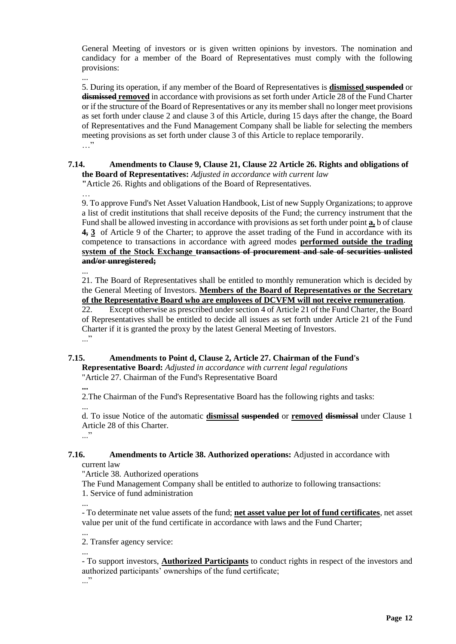General Meeting of investors or is given written opinions by investors. The nomination and candidacy for a member of the Board of Representatives must comply with the following provisions:

... 5. During its operation, if any member of the Board of Representatives is **dismissed suspended** or **dismissed removed** in accordance with provisions as set forth under Article 28 of the Fund Charter or if the structure of the Board of Representatives or any its member shall no longer meet provisions as set forth under clause 2 and clause 3 of this Article, during 15 days after the change, the Board of Representatives and the Fund Management Company shall be liable for selecting the members meeting provisions as set forth under clause 3 of this Article to replace temporarily. …"

#### **7.14. Amendments to Clause 9, Clause 21, Clause 22 Article 26. Rights and obligations of the Board of Representatives:** *Adjusted in accordance with current law* **"**Article 26. Rights and obligations of the Board of Representatives.

…

9. To approve Fund's Net Asset Valuation Handbook, List of new Supply Organizations; to approve a list of credit institutions that shall receive deposits of the Fund; the currency instrument that the Fund shall be allowed investing in accordance with provisions as set forth under point **a,** b of clause **4, 3** of Article 9 of the Charter; to approve the asset trading of the Fund in accordance with its competence to transactions in accordance with agreed modes **performed outside the trading system of the Stock Exchange transactions of procurement and sale of securities unlisted and/or unregistered;**

...

21. The Board of Representatives shall be entitled to monthly remuneration which is decided by the General Meeting of Investors. **Members of the Board of Representatives or the Secretary of the Representative Board who are employees of DCVFM will not receive remuneration**.

22. Except otherwise as prescribed under section 4 of Article 21 of the Fund Charter, the Board of Representatives shall be entitled to decide all issues as set forth under Article 21 of the Fund Charter if it is granted the proxy by the latest General Meeting of Investors. ..."

# **7.15. Amendments to Point d, Clause 2, Article 27. Chairman of the Fund's**

**Representative Board:** *Adjusted in accordance with current legal regulations* "Article 27. Chairman of the Fund's Representative Board

**...**

2.The Chairman of the Fund's Representative Board has the following rights and tasks:

... d. To issue Notice of the automatic **dismissal suspended** or **removed dismissal** under Clause 1 Article 28 of this Charter.

..."

...

#### **7.16. Amendments to Article 38. Authorized operations:** Adjusted in accordance with current law

"Article 38. Authorized operations

The Fund Management Company shall be entitled to authorize to following transactions: 1. Service of fund administration

... - To determinate net value assets of the fund; **net asset value per lot of fund certificates**, net asset value per unit of the fund certificate in accordance with laws and the Fund Charter;

2. Transfer agency service:

... - To support investors, **Authorized Participants** to conduct rights in respect of the investors and authorized participants' ownerships of the fund certificate; ..."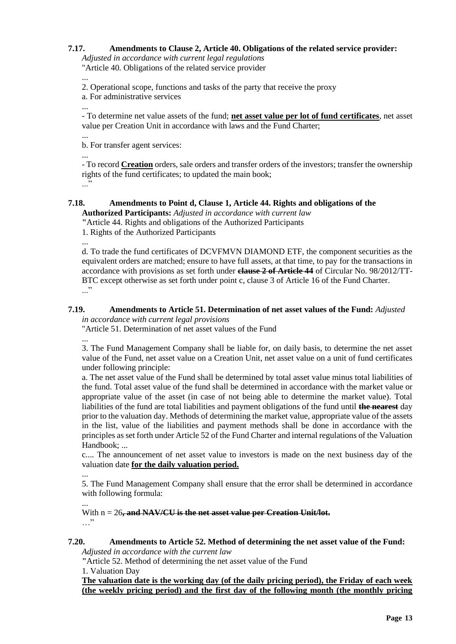## **7.17. Amendments to Clause 2, Article 40. Obligations of the related service provider:**

*Adjusted in accordance with current legal regulations* "Article 40. Obligations of the related service provider

... 2. Operational scope, functions and tasks of the party that receive the proxy

a. For administrative services

...

- To determine net value assets of the fund; **net asset value per lot of fund certificates**, net asset value per Creation Unit in accordance with laws and the Fund Charter;

... b. For transfer agent services:

...

- To record **Creation** orders, sale orders and transfer orders of the investors; transfer the ownership rights of the fund certificates; to updated the main book; ..."

#### **7.18. Amendments to Point d, Clause 1, Article 44. Rights and obligations of the Authorized Participants:** *Adjusted in accordance with current law*

**"**Article 44. Rights and obligations of the Authorized Participants

1. Rights of the Authorized Participants

...

d. To trade the fund certificates of DCVFMVN DIAMOND ETF, the component securities as the equivalent orders are matched; ensure to have full assets, at that time, to pay for the transactions in accordance with provisions as set forth under **clause 2 of Article 44** of Circular No. 98/2012/TT-BTC except otherwise as set forth under point c, clause 3 of Article 16 of the Fund Charter. ..."

#### **7.19. Amendments to Article 51. Determination of net asset values of the Fund:** *Adjusted in accordance with current legal provisions*

"Article 51. Determination of net asset values of the Fund

... 3. The Fund Management Company shall be liable for, on daily basis, to determine the net asset value of the Fund, net asset value on a Creation Unit, net asset value on a unit of fund certificates under following principle:

a. The net asset value of the Fund shall be determined by total asset value minus total liabilities of the fund. Total asset value of the fund shall be determined in accordance with the market value or appropriate value of the asset (in case of not being able to determine the market value). Total liabilities of the fund are total liabilities and payment obligations of the fund until **the nearest** day prior to the valuation day. Methods of determining the market value, appropriate value of the assets in the list, value of the liabilities and payment methods shall be done in accordance with the principles as set forth under Article 52 of the Fund Charter and internal regulations of the Valuation Handbook; ...

c.... The announcement of net asset value to investors is made on the next business day of the valuation date **for the daily valuation period.**

5. The Fund Management Company shall ensure that the error shall be determined in accordance with following formula:

... With  $n = 26$ , and NAV/CU is the net asset value per Creation Unit/lot. …"

# **7.20. Amendments to Article 52. Method of determining the net asset value of the Fund:**

*Adjusted in accordance with the current law*

**"**Article 52. Method of determining the net asset value of the Fund

1. Valuation Day

...

**The valuation date is the working day (of the daily pricing period), the Friday of each week (the weekly pricing period) and the first day of the following month (the monthly pricing**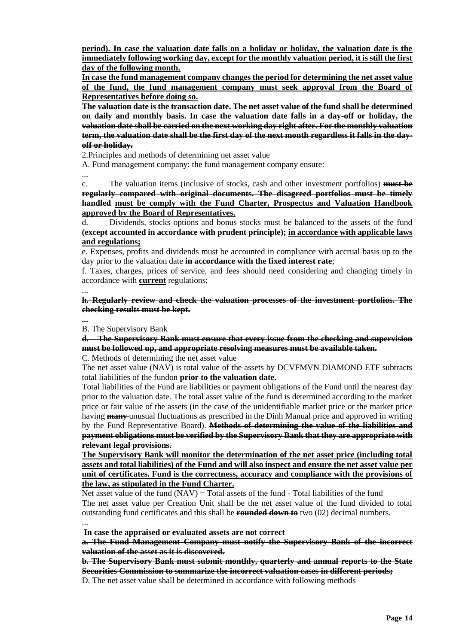**period). In case the valuation date falls on a holiday or holiday, the valuation date is the immediately following working day, except for the monthly valuation period, it is still the first day of the following month.**

**In case the fund management company changes the period for determining the net asset value of the fund, the fund management company must seek approval from the Board of Representatives before doing so.**

**The valuation date is the transaction date. The net asset value of the fund shall be determined on daily and monthly basis. In case the valuation date falls in a day-off or holiday, the valuation date shall be carried on the next working day right after. For the monthly valuation term, the valuation date shall be the first day of the next month regardless it falls in the dayoff or holiday.** 

2.Principles and methods of determining net asset value

A. Fund management company: the fund management company ensure:

...

c. The valuation items (inclusive of stocks, cash and other investment portfolios) **must be regularly compared with original documents. The disagreed portfolios must be timely handled must be comply with the Fund Charter, Prospectus and Valuation Handbook approved by the Board of Representatives.**

d. Dividends, stocks options and bonus stocks must be balanced to the assets of the fund **(except accounted in accordance with prudent principle); in accordance with applicable laws and regulations;**

e. Expenses, profits and dividends must be accounted in compliance with accrual basis up to the day prior to the valuation date **in accordance with the fixed interest rate**;

f. Taxes, charges, prices of service, and fees should need considering and changing timely in accordance with **current** regulations;

... **h. Regularly review and check the valuation processes of the investment portfolios. The checking results must be kept.**

**...** B. The Supervisory Bank

**d. The Supervisory Bank must ensure that every issue from the checking and supervision must be followed up, and appropriate resolving measures must be available taken.**

C. Methods of determining the net asset value

The net asset value (NAV) is total value of the assets by DCVFMVN DIAMOND ETF subtracts total liabilities of the fundon **prior to the valuation date.**

Total liabilities of the Fund are liabilities or payment obligations of the Fund until the nearest day prior to the valuation date. The total asset value of the fund is determined according to the market price or fair value of the assets (in the case of the unidentifiable market price or the market price having **many** unusual fluctuations as prescribed in the Dinh Manual price and approved in writing by the Fund Representative Board). **Methods of determining the value of the liabilities and payment obligations must be verified by the Supervisory Bank that they are appropriate with relevant legal provisions.**

**The Supervisory Bank will monitor the determination of the net asset price (including total assets and total liabilities) of the Fund and will also inspect and ensure the net asset value per unit of certificates. Fund is the correctness, accuracy and compliance with the provisions of the law, as stipulated in the Fund Charter.**

Net asset value of the fund  $(NAV) = Total$  assets of the fund - Total liabilities of the fund The net asset value per Creation Unit shall be the net asset value of the fund divided to total outstanding fund certificates and this shall be **rounded down to** two (02) decimal numbers.

...

**In case the appraised or evaluated assets are not correct**

**a. The Fund Management Company must notify the Supervisory Bank of the incorrect valuation of the asset as it is discovered.** 

**b. The Supervisory Bank must submit monthly, quarterly and annual reports to the State Securities Commission to summarize the incorrect valuation cases in different periods;**

D. The net asset value shall be determined in accordance with following methods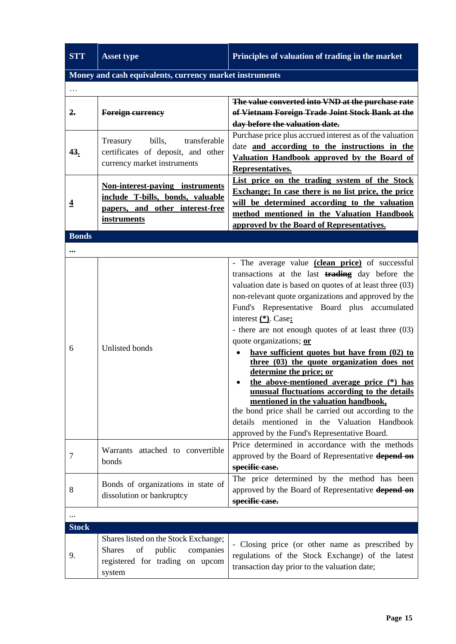| <b>STT</b>     | <b>Asset type</b>                                                                                                               | Principles of valuation of trading in the market                                                                                                                                                                                                                                                                                                                                                                                                                                                                                                                                                                                                                                                                                                                                                       |
|----------------|---------------------------------------------------------------------------------------------------------------------------------|--------------------------------------------------------------------------------------------------------------------------------------------------------------------------------------------------------------------------------------------------------------------------------------------------------------------------------------------------------------------------------------------------------------------------------------------------------------------------------------------------------------------------------------------------------------------------------------------------------------------------------------------------------------------------------------------------------------------------------------------------------------------------------------------------------|
|                | Money and cash equivalents, currency market instruments                                                                         |                                                                                                                                                                                                                                                                                                                                                                                                                                                                                                                                                                                                                                                                                                                                                                                                        |
|                |                                                                                                                                 |                                                                                                                                                                                                                                                                                                                                                                                                                                                                                                                                                                                                                                                                                                                                                                                                        |
| 2.             | <b>Foreign currency</b>                                                                                                         | The value converted into VND at the purchase rate<br>of Vietnam Foreign Trade Joint Stock Bank at the<br>day before the valuation date.                                                                                                                                                                                                                                                                                                                                                                                                                                                                                                                                                                                                                                                                |
| <u>43.</u>     | bills,<br>transferable<br>Treasury<br>certificates of deposit, and other<br>currency market instruments                         | Purchase price plus accrued interest as of the valuation<br>date and according to the instructions in the<br>Valuation Handbook approved by the Board of<br>Representatives.                                                                                                                                                                                                                                                                                                                                                                                                                                                                                                                                                                                                                           |
| $\overline{4}$ | <b>Non-interest-paying instruments</b><br>include T-bills, bonds, valuable<br>papers, and other interest-free<br>instruments    | List price on the trading system of the Stock<br>Exchange; In case there is no list price, the price<br>will be determined according to the valuation<br>method mentioned in the Valuation Handbook<br>approved by the Board of Representatives.                                                                                                                                                                                                                                                                                                                                                                                                                                                                                                                                                       |
| <b>Bonds</b>   |                                                                                                                                 |                                                                                                                                                                                                                                                                                                                                                                                                                                                                                                                                                                                                                                                                                                                                                                                                        |
| $\ddotsc$      |                                                                                                                                 |                                                                                                                                                                                                                                                                                                                                                                                                                                                                                                                                                                                                                                                                                                                                                                                                        |
| 6              | Unlisted bonds                                                                                                                  | - The average value (clean price) of successful<br>transactions at the last trading day before the<br>valuation date is based on quotes of at least three (03)<br>non-relevant quote organizations and approved by the<br>Fund's Representative Board plus accumulated<br>interest (*). Case:<br>- there are not enough quotes of at least three (03)<br>quote organizations; or<br>have sufficient quotes but have from (02) to<br>three (03) the quote organization does not<br>determine the price; or<br>the above-mentioned average price (*) has<br>unusual fluctuations according to the details<br>mentioned in the valuation handbook,<br>the bond price shall be carried out according to the<br>details mentioned in the Valuation Handbook<br>approved by the Fund's Representative Board. |
| 7              | Warrants attached to convertible<br>bonds                                                                                       | Price determined in accordance with the methods<br>approved by the Board of Representative depend on<br>specific case.                                                                                                                                                                                                                                                                                                                                                                                                                                                                                                                                                                                                                                                                                 |
| 8              | Bonds of organizations in state of<br>dissolution or bankruptcy                                                                 | The price determined by the method has been<br>approved by the Board of Representative depend on<br>specific case.                                                                                                                                                                                                                                                                                                                                                                                                                                                                                                                                                                                                                                                                                     |
|                |                                                                                                                                 |                                                                                                                                                                                                                                                                                                                                                                                                                                                                                                                                                                                                                                                                                                                                                                                                        |
| <b>Stock</b>   |                                                                                                                                 |                                                                                                                                                                                                                                                                                                                                                                                                                                                                                                                                                                                                                                                                                                                                                                                                        |
| 9.             | Shares listed on the Stock Exchange;<br>public<br>of<br>companies<br><b>Shares</b><br>registered for trading on upcom<br>system | - Closing price (or other name as prescribed by<br>regulations of the Stock Exchange) of the latest<br>transaction day prior to the valuation date;                                                                                                                                                                                                                                                                                                                                                                                                                                                                                                                                                                                                                                                    |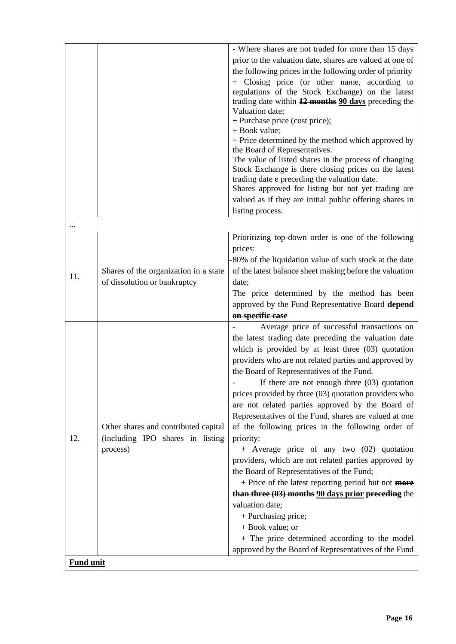|                  |                                                                          | - Where shares are not traded for more than 15 days                                                |
|------------------|--------------------------------------------------------------------------|----------------------------------------------------------------------------------------------------|
|                  |                                                                          | prior to the valuation date, shares are valued at one of                                           |
|                  |                                                                          | the following prices in the following order of priority                                            |
|                  |                                                                          | + Closing price (or other name, according to                                                       |
|                  |                                                                          | regulations of the Stock Exchange) on the latest                                                   |
|                  |                                                                          | trading date within 12 months 90 days preceding the                                                |
|                  |                                                                          | Valuation date;                                                                                    |
|                  |                                                                          | + Purchase price (cost price);<br>+ Book value;                                                    |
|                  |                                                                          | + Price determined by the method which approved by                                                 |
|                  |                                                                          | the Board of Representatives.                                                                      |
|                  |                                                                          | The value of listed shares in the process of changing                                              |
|                  |                                                                          | Stock Exchange is there closing prices on the latest                                               |
|                  |                                                                          | trading date e preceding the valuation date.                                                       |
|                  |                                                                          | Shares approved for listing but not yet trading are                                                |
|                  |                                                                          | valued as if they are initial public offering shares in                                            |
|                  |                                                                          | listing process.                                                                                   |
|                  |                                                                          |                                                                                                    |
|                  |                                                                          | Prioritizing top-down order is one of the following                                                |
|                  |                                                                          | prices:                                                                                            |
|                  |                                                                          | -80% of the liquidation value of such stock at the date                                            |
| 11.              | Shares of the organization in a state                                    | of the latest balance sheet making before the valuation                                            |
|                  | of dissolution or bankruptcy                                             | date;                                                                                              |
|                  |                                                                          | The price determined by the method has been                                                        |
|                  |                                                                          | approved by the Fund Representative Board depend                                                   |
|                  |                                                                          | on specific case                                                                                   |
|                  |                                                                          | Average price of successful transactions on                                                        |
|                  |                                                                          | the latest trading date preceding the valuation date                                               |
|                  |                                                                          | which is provided by at least three $(03)$ quotation                                               |
|                  |                                                                          | providers who are not related parties and approved by<br>the Board of Representatives of the Fund. |
|                  |                                                                          | If there are not enough three $(03)$ quotation                                                     |
|                  |                                                                          | prices provided by three (03) quotation providers who                                              |
|                  |                                                                          | are not related parties approved by the Board of                                                   |
|                  | Other shares and contributed capital<br>(including IPO shares in listing | Representatives of the Fund, shares are valued at one                                              |
|                  |                                                                          | of the following prices in the following order of                                                  |
| 12.              |                                                                          | priority:                                                                                          |
|                  | process)                                                                 | + Average price of any two (02) quotation                                                          |
|                  |                                                                          | providers, which are not related parties approved by                                               |
|                  |                                                                          | the Board of Representatives of the Fund;                                                          |
|                  |                                                                          | + Price of the latest reporting period but not <b>more</b>                                         |
|                  |                                                                          | than three $(03)$ months $90$ days prior preceding the                                             |
|                  |                                                                          | valuation date;                                                                                    |
|                  |                                                                          | + Purchasing price;                                                                                |
|                  |                                                                          | + Book value; or                                                                                   |
|                  |                                                                          | + The price determined according to the model                                                      |
|                  |                                                                          | approved by the Board of Representatives of the Fund                                               |
| <b>Fund unit</b> |                                                                          |                                                                                                    |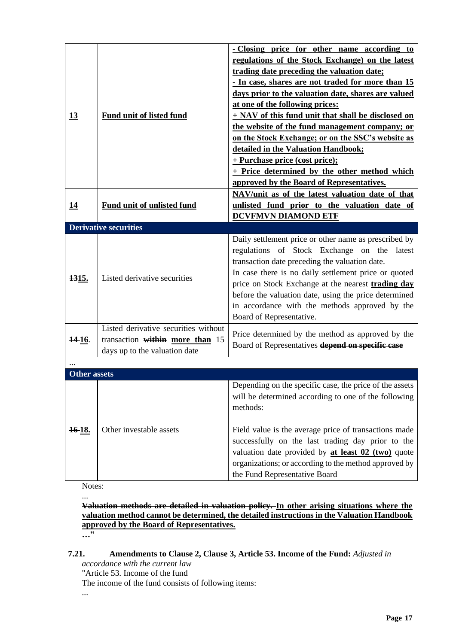| 13                  | Fund unit of listed fund                                                                                 | - Closing price (or other name according to<br>regulations of the Stock Exchange) on the latest<br>trading date preceding the valuation date;<br>- In case, shares are not traded for more than 15<br>days prior to the valuation date, shares are valued<br>at one of the following prices:<br>+ NAV of this fund unit that shall be disclosed on<br>the website of the fund management company; or<br>on the Stock Exchange; or on the SSC's website as<br>detailed in the Valuation Handbook;<br>+ Purchase price (cost price);<br>+ Price determined by the other method which<br>approved by the Board of Representatives. |
|---------------------|----------------------------------------------------------------------------------------------------------|---------------------------------------------------------------------------------------------------------------------------------------------------------------------------------------------------------------------------------------------------------------------------------------------------------------------------------------------------------------------------------------------------------------------------------------------------------------------------------------------------------------------------------------------------------------------------------------------------------------------------------|
| <u>14</u>           | <b>Fund unit of unlisted fund</b>                                                                        | NAV/unit as of the latest valuation date of that<br>unlisted fund prior to the valuation date of<br><b>DCVFMVN DIAMOND ETF</b>                                                                                                                                                                                                                                                                                                                                                                                                                                                                                                  |
|                     | <b>Derivative securities</b>                                                                             |                                                                                                                                                                                                                                                                                                                                                                                                                                                                                                                                                                                                                                 |
| 1315.               | Listed derivative securities                                                                             | Daily settlement price or other name as prescribed by<br>regulations of Stock Exchange on the latest<br>transaction date preceding the valuation date.<br>In case there is no daily settlement price or quoted<br>price on Stock Exchange at the nearest trading day<br>before the valuation date, using the price determined<br>in accordance with the methods approved by the<br>Board of Representative.                                                                                                                                                                                                                     |
| 14-16.              | Listed derivative securities without<br>transaction within more than 15<br>days up to the valuation date | Price determined by the method as approved by the<br>Board of Representatives depend on specific case                                                                                                                                                                                                                                                                                                                                                                                                                                                                                                                           |
|                     |                                                                                                          |                                                                                                                                                                                                                                                                                                                                                                                                                                                                                                                                                                                                                                 |
| <b>Other assets</b> |                                                                                                          |                                                                                                                                                                                                                                                                                                                                                                                                                                                                                                                                                                                                                                 |
| <del>16</del> 18.   | Other investable assets                                                                                  | Depending on the specific case, the price of the assets<br>will be determined according to one of the following<br>methods:<br>Field value is the average price of transactions made<br>successfully on the last trading day prior to the<br>valuation date provided by at least 02 (two) quote<br>organizations; or according to the method approved by<br>the Fund Representative Board                                                                                                                                                                                                                                       |

Notes: ...

**Valuation methods are detailed in valuation policy. In other arising situations where the valuation method cannot be determined, the detailed instructions in the Valuation Handbook approved by the Board of Representatives.**

**…"**

# **7.21. Amendments to Clause 2, Clause 3, Article 53. Income of the Fund:** *Adjusted in*

*accordance with the current law*

"Article 53. Income of the fund

The income of the fund consists of following items:

...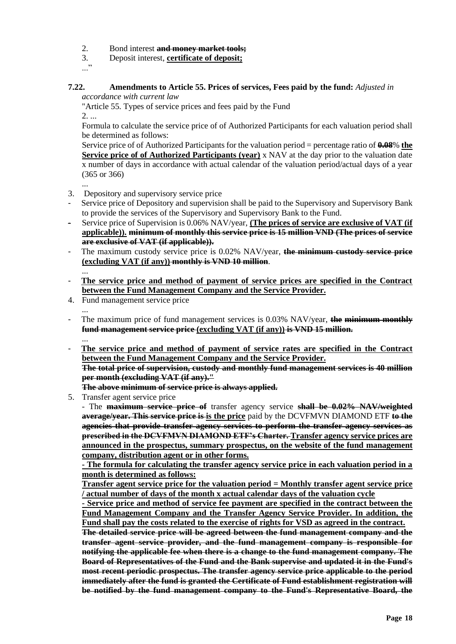- 2. Bond interest **and money market tools;**
- 3. Deposit interest, **certificate of deposit;**
- ..."

#### **7.22. Amendments to Article 55. Prices of services, Fees paid by the fund:** *Adjusted in accordance with current law*

"Article 55. Types of service prices and fees paid by the Fund 2. ...

Formula to calculate the service price of of Authorized Participants for each valuation period shall be determined as follows:

Service price of of Authorized Participants for the valuation period = percentage ratio of **0.08**% **the Service price of of Authorized Participants (year)** x NAV at the day prior to the valuation date x number of days in accordance with actual calendar of the valuation period/actual days of a year (365 or 366)

- ...
- 3. Depository and supervisory service price
- Service price of Depository and supervision shall be paid to the Supervisory and Supervisory Bank to provide the services of the Supervisory and Supervisory Bank to the Fund.
- Service price of Supervision is 0.06% NAV/year, **(The prices of service are exclusive of VAT (if applicable)). minimum of monthly this service price is 15 million VND (The prices of service are exclusive of VAT (if applicable)).**
- The maximum custody service price is 0.02% NAV/year, **the minimum custody service price (excluding VAT (if any)) monthly is VND 10 million**.
- ... - **The service price and method of payment of service prices are specified in the Contract between the Fund Management Company and the Service Provider.**
- 4. Fund management service price
	-

...

- ... - The maximum price of fund management services is 0.03% NAV/year, **the minimum monthly fund management service price (excluding VAT (if any)) is VND 15 million.**
- **The service price and method of payment of service rates are specified in the Contract between the Fund Management Company and the Service Provider. The total price of supervision, custody and monthly fund management services is 40 million**

**per month (excluding VAT (if any)."**

**The above minimum of service price is always applied.**

5. Transfer agent service price

- The **maximum service price of** transfer agency service **shall be 0.02% NAV/weighted average/year. This service price is is the price** paid by the DCVFMVN DIAMOND ETF **to the agencies that provide transfer agency services to perform the transfer agency services as prescribed in the DCVFMVN DIAMOND ETF's Charter. Transfer agency service prices are announced in the prospectus, summary prospectus, on the website of the fund management company, distribution agent or in other forms.**

**- The formula for calculating the transfer agency service price in each valuation period in a month is determined as follows:**

**Transfer agent service price for the valuation period = Monthly transfer agent service price / actual number of days of the month x actual calendar days of the valuation cycle**

**- Service price and method of service fee payment are specified in the contract between the Fund Management Company and the Transfer Agency Service Provider. In addition, the Fund shall pay the costs related to the exercise of rights for VSD as agreed in the contract.**

**The detailed service price will be agreed between the fund management company and the transfer agent service provider, and the fund management company is responsible for notifying the applicable fee when there is a change to the fund management company. The Board of Representatives of the Fund and the Bank supervise and updated it in the Fund's most recent periodic prospectus. The transfer agency service price applicable to the period immediately after the fund is granted the Certificate of Fund establishment registration will be notified by the fund management company to the Fund's Representative Board, the**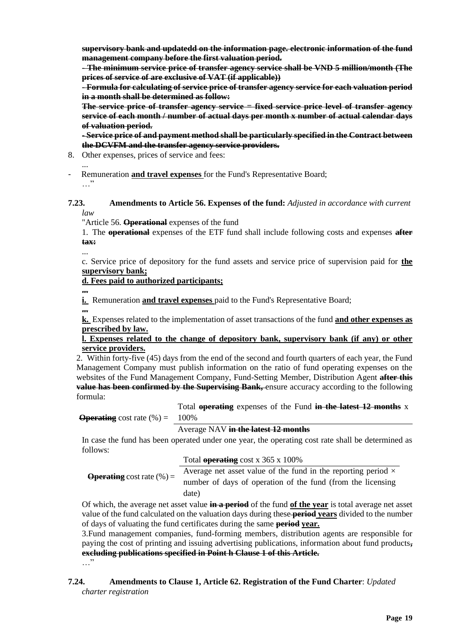**supervisory bank and updatedd on the information page. electronic information of the fund management company before the first valuation period.**

**- The minimum service price of transfer agency service shall be VND 5 million/month (The prices of service of are exclusive of VAT (if applicable))**

**- Formula for calculating of service price of transfer agency service for each valuation period in a month shall be determined as follow:** 

**The service price of transfer agency service = fixed service price level of transfer agency service of each month / number of actual days per month x number of actual calendar days of valuation period.**

**- Service price of and payment method shall be particularly specified in the Contract between the DCVFM and the transfer agency service providers.**

8. Other expenses, prices of service and fees:

... - Remuneration **and travel expenses** for the Fund's Representative Board; …"

#### **7.23. Amendments to Article 56. Expenses of the fund:** *Adjusted in accordance with current law*

"Article 56. **Operational** expenses of the fund

1. The **operational** expenses of the ETF fund shall include following costs and expenses **after tax:**

... c. Service price of depository for the fund assets and service price of supervision paid for **the supervisory bank;**

**d. Fees paid to authorized participants;**

**...**

**...**

**i.** Remuneration **and travel expenses** paid to the Fund's Representative Board;

**k.** Expenses related to the implementation of asset transactions of the fund **and other expenses as prescribed by law.**

## **l. Expenses related to the change of depository bank, supervisory bank (if any) or other service providers.**

2. Within forty-five (45) days from the end of the second and fourth quarters of each year, the Fund Management Company must publish information on the ratio of fund operating expenses on the websites of the Fund Management Company, Fund-Setting Member, Distribution Agent **after this value has been confirmed by the Supervising Bank,** ensure accuracy according to the following formula:

**Operating** cost rate  $(\%) = 100\%$ Total **operating** expenses of the Fund **in the latest 12 months** x

Average NAV **in the latest 12 months**

In case the fund has been operated under one year, the operating cost rate shall be determined as follows:  $T_{\text{total}}$  operating cost  $\approx$  365  $\times$  1000%

| <b>Operating</b> cost rate $(\%) =$ | Total operating cost x 365 x 100%                                    |
|-------------------------------------|----------------------------------------------------------------------|
|                                     | Average net asset value of the fund in the reporting period $\times$ |
|                                     | number of days of operation of the fund (from the licensing          |
|                                     | date)                                                                |

Of which, the average net asset value **in a period** of the fund **of the year** is total average net asset value of the fund calculated on the valuation days during these **period years** divided to the number of days of valuating the fund certificates during the same **period year.**

3.Fund management companies, fund-forming members, distribution agents are responsible for paying the cost of printing and issuing advertising publications, information about fund products**, excluding publications specified in Point h Clause 1 of this Article.** …"

## **7.24. Amendments to Clause 1, Article 62. Registration of the Fund Charter**: *Updated charter registration*